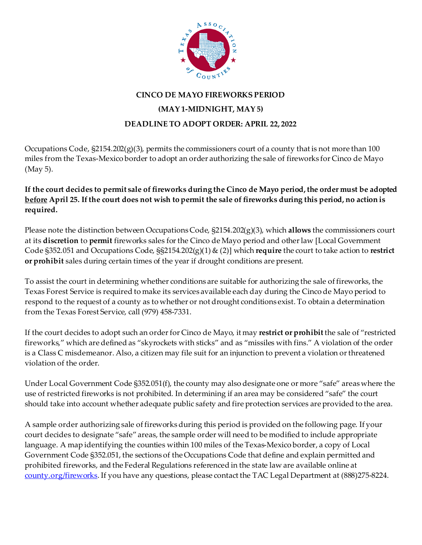

## **CINCO DE MAYO FIREWORKS PERIOD (MAY 1-MIDNIGHT, MAY 5) DEADLINE TO ADOPT ORDER: APRIL 22, 2022**

Occupations Code, §2154.202(g)(3), permits the commissioners court of a county that is not more than 100 miles from the Texas-Mexico border to adopt an order authorizing the sale of fireworks for Cinco de Mayo (May 5).

## **If the court decides to permit sale of fireworks during the Cinco de Mayo period, the order must be adopted before April 25. If the court does not wish to permit the sale of fireworks during this period, no action is required.**

Please note the distinction between Occupations Code, §2154.202(g)(3), which **allows** the commissioners court at its **discretion** to **permit** fireworks sales for the Cinco de Mayo period and other law [Local Government Code §352.051 and Occupations Code, §§2154.202(g)(1) & (2)] which **require** the court to take action to **restrict or prohibit** sales during certain times of the year if drought conditions are present.

To assist the court in determining whether conditions are suitable for authorizing the sale of fireworks, the Texas Forest Service is required to make its services available each day during the Cinco de Mayo period to respond to the request of a county as to whether or not drought conditions exist. To obtain a determination from the Texas Forest Service, call (979) 458-7331.

If the court decides to adopt such an order for Cinco de Mayo, it may **restrict or prohibit** the sale of "restricted fireworks," which are defined as "skyrockets with sticks" and as "missiles with fins." A violation of the order is a Class C misdemeanor. Also, a citizen may file suit for an injunction to prevent a violation or threatened violation of the order.

Under Local Government Code §352.051(f), the county may also designate one or more "safe" areas where the use of restricted fireworks is not prohibited. In determining if an area may be considered "safe" the court should take into account whether adequate public safety and fire protection services are provided to the area.

A sample order authorizing sale of fireworks during this period is provided on the following page. If your court decides to designate "safe" areas, the sample order will need to be modified to include appropriate language. A map identifying the counties within 100 miles of the Texas-Mexico border, a copy of Local Government Code §352.051, the sections of the Occupations Code that define and explain permitted and prohibited fireworks, and the Federal Regulations referenced in the state law are available online at [county.org/fireworks](http://www.county.org/fireworks). If you have any questions, please contact the TAC Legal Department at (888)275-8224.